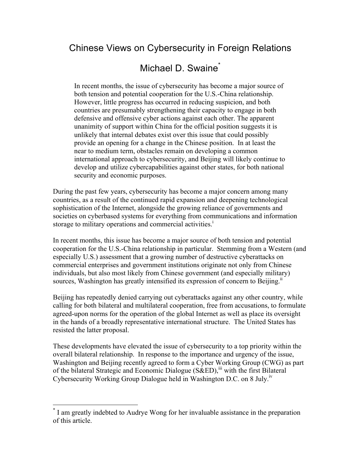## Chinese Views on Cybersecurity in Foreign Relations

# Michael D. Swaine<sup>\*</sup>

In recent months, the issue of cybersecurity has become a major source of both tension and potential cooperation for the U.S.-China relationship. However, little progress has occurred in reducing suspicion, and both countries are presumably strengthening their capacity to engage in both defensive and offensive cyber actions against each other. The apparent unanimity of support within China for the official position suggests it is unlikely that internal debates exist over this issue that could possibly provide an opening for a change in the Chinese position. In at least the near to medium term, obstacles remain on developing a common international approach to cybersecurity, and Beijing will likely continue to develop and utilize cybercapabilities against other states, for both national security and economic purposes.

During the past few years, cybersecurity has become a major concern among many countries, as a result of the continued rapid expansion and deepening technological sophistication of the Internet, alongside the growing reliance of governments and societies on cyberbased systems for everything from communications and information storage to military operations and commercial activities.<sup>1</sup>

In recent months, this issue has become a major source of both tension and potential cooperation for the U.S.-China relationship in particular. Stemming from a Western (and especially U.S.) assessment that a growing number of destructive cyberattacks on commercial enterprises and government institutions originate not only from Chinese individuals, but also most likely from Chinese government (and especially military) sources, Washington has greatly intensified its expression of concern to Beijing.<sup>ii</sup>

Beijing has repeatedly denied carrying out cyberattacks against any other country, while calling for both bilateral and multilateral cooperation, free from accusations, to formulate agreed-upon norms for the operation of the global Internet as well as place its oversight in the hands of a broadly representative international structure. The United States has resisted the latter proposal.

These developments have elevated the issue of cybersecurity to a top priority within the overall bilateral relationship. In response to the importance and urgency of the issue, Washington and Beijing recently agreed to form a Cyber Working Group (CWG) as part of the bilateral Strategic and Economic Dialogue  $(S\&ED)$ ,<sup>iii</sup> with the first Bilateral Cybersecurity Working Group Dialogue held in Washington D.C. on 8 July.<sup>1V</sup>

 <sup>\*</sup> I am greatly indebted to Audrye Wong for her invaluable assistance in the preparation of this article.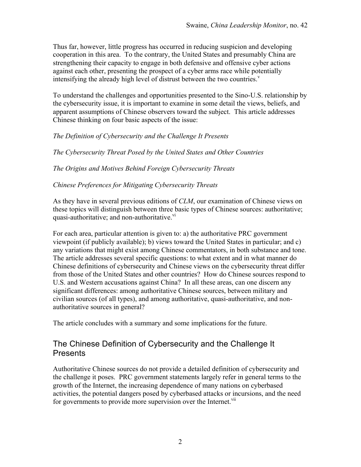Thus far, however, little progress has occurred in reducing suspicion and developing cooperation in this area. To the contrary, the United States and presumably China are strengthening their capacity to engage in both defensive and offensive cyber actions against each other, presenting the prospect of a cyber arms race while potentially intensifying the already high level of distrust between the two countries. $v$ 

To understand the challenges and opportunities presented to the Sino-U.S. relationship by the cybersecurity issue, it is important to examine in some detail the views, beliefs, and apparent assumptions of Chinese observers toward the subject. This article addresses Chinese thinking on four basic aspects of the issue:

#### *The Definition of Cybersecurity and the Challenge It Presents*

*The Cybersecurity Threat Posed by the United States and Other Countries*

*The Origins and Motives Behind Foreign Cybersecurity Threats*

#### *Chinese Preferences for Mitigating Cybersecurity Threats*

As they have in several previous editions of *CLM*, our examination of Chinese views on these topics will distinguish between three basic types of Chinese sources: authoritative; quasi-authoritative; and non-authoritative. $v_1$ 

For each area, particular attention is given to: a) the authoritative PRC government viewpoint (if publicly available); b) views toward the United States in particular; and c) any variations that might exist among Chinese commentators, in both substance and tone. The article addresses several specific questions: to what extent and in what manner do Chinese definitions of cybersecurity and Chinese views on the cybersecurity threat differ from those of the United States and other countries? How do Chinese sources respond to U.S. and Western accusations against China? In all these areas, can one discern any significant differences: among authoritative Chinese sources, between military and civilian sources (of all types), and among authoritative, quasi-authoritative, and nonauthoritative sources in general?

The article concludes with a summary and some implications for the future.

#### The Chinese Definition of Cybersecurity and the Challenge It Presents

Authoritative Chinese sources do not provide a detailed definition of cybersecurity and the challenge it poses. PRC government statements largely refer in general terms to the growth of the Internet, the increasing dependence of many nations on cyberbased activities, the potential dangers posed by cyberbased attacks or incursions, and the need for governments to provide more supervision over the Internet.<sup>Vii</sup>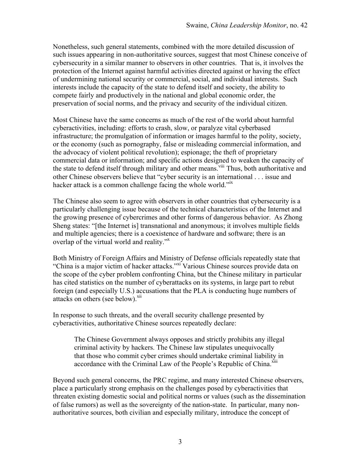Nonetheless, such general statements, combined with the more detailed discussion of such issues appearing in non-authoritative sources, suggest that most Chinese conceive of cybersecurity in a similar manner to observers in other countries. That is, it involves the protection of the Internet against harmful activities directed against or having the effect of undermining national security or commercial, social, and individual interests. Such interests include the capacity of the state to defend itself and society, the ability to compete fairly and productively in the national and global economic order, the preservation of social norms, and the privacy and security of the individual citizen.

Most Chinese have the same concerns as much of the rest of the world about harmful cyberactivities, including: efforts to crash, slow, or paralyze vital cyberbased infrastructure; the promulgation of information or images harmful to the polity, society, or the economy (such as pornography, false or misleading commercial information, and the advocacy of violent political revolution); espionage; the theft of proprietary commercial data or information; and specific actions designed to weaken the capacity of the state to defend itself through military and other means.<sup>viii</sup> Thus, both authoritative and other Chinese observers believe that "cyber security is an international . . . issue and hacker attack is a common challenge facing the whole world."<sup>ix</sup>

The Chinese also seem to agree with observers in other countries that cybersecurity is a particularly challenging issue because of the technical characteristics of the Internet and the growing presence of cybercrimes and other forms of dangerous behavior. As Zhong Sheng states: "[the Internet is] transnational and anonymous; it involves multiple fields and multiple agencies; there is a coexistence of hardware and software; there is an overlap of the virtual world and reality."

Both Ministry of Foreign Affairs and Ministry of Defense officials repeatedly state that "China is a major victim of hacker attacks."xi Various Chinese sources provide data on the scope of the cyber problem confronting China, but the Chinese military in particular has cited statistics on the number of cyberattacks on its systems, in large part to rebut foreign (and especially U.S.) accusations that the PLA is conducting huge numbers of attacks on others (see below).<sup>xii</sup>

In response to such threats, and the overall security challenge presented by cyberactivities, authoritative Chinese sources repeatedly declare:

The Chinese Government always opposes and strictly prohibits any illegal criminal activity by hackers. The Chinese law stipulates unequivocally that those who commit cyber crimes should undertake criminal liability in accordance with the Criminal Law of the People's Republic of China.<sup>xiii</sup>

Beyond such general concerns, the PRC regime, and many interested Chinese observers, place a particularly strong emphasis on the challenges posed by cyberactivities that threaten existing domestic social and political norms or values (such as the dissemination of false rumors) as well as the sovereignty of the nation-state. In particular, many nonauthoritative sources, both civilian and especially military, introduce the concept of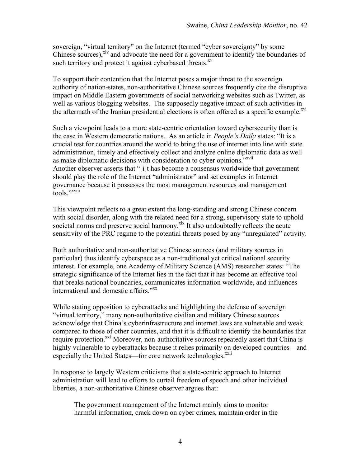sovereign, "virtual territory" on the Internet (termed "cyber sovereignty" by some Chinese sources), $\frac{xiv}{y}$  and advocate the need for a government to identify the boundaries of such territory and protect it against cyberbased threats.<sup>xv</sup>

To support their contention that the Internet poses a major threat to the sovereign authority of nation-states, non-authoritative Chinese sources frequently cite the disruptive impact on Middle Eastern governments of social networking websites such as Twitter, as well as various blogging websites. The supposedly negative impact of such activities in the aftermath of the Iranian presidential elections is often offered as a specific example.<sup>xvi</sup>

Such a viewpoint leads to a more state-centric orientation toward cybersecurity than is the case in Western democratic nations. As an article in *People's Daily* states: "It is a crucial test for countries around the world to bring the use of internet into line with state administration, timely and effectively collect and analyze online diplomatic data as well as make diplomatic decisions with consideration to cyber opinions."<sup>xvii</sup> Another observer asserts that "[i]t has become a consensus worldwide that government should play the role of the Internet "administrator" and set examples in Internet governance because it possesses the most management resources and management tools."<sup>xviii</sup>

This viewpoint reflects to a great extent the long-standing and strong Chinese concern with social disorder, along with the related need for a strong, supervisory state to uphold societal norms and preserve social harmony.<sup>xix</sup> It also undoubtedly reflects the acute sensitivity of the PRC regime to the potential threats posed by any "unregulated" activity.

Both authoritative and non-authoritative Chinese sources (and military sources in particular) thus identify cyberspace as a non-traditional yet critical national security interest. For example, one Academy of Military Science (AMS) researcher states: "The strategic significance of the Internet lies in the fact that it has become an effective tool that breaks national boundaries, communicates information worldwide, and influences international and domestic affairs."<sup>xx</sup>

While stating opposition to cyberattacks and highlighting the defense of sovereign "virtual territory," many non-authoritative civilian and military Chinese sources acknowledge that China's cyberinfrastructure and internet laws are vulnerable and weak compared to those of other countries, and that it is difficult to identify the boundaries that require protection.<sup>xxi</sup> Moreover, non-authoritative sources repeatedly assert that China is highly vulnerable to cyberattacks because it relies primarily on developed countries—and especially the United States—for core network technologies.<sup>xxii</sup>

In response to largely Western criticisms that a state-centric approach to Internet administration will lead to efforts to curtail freedom of speech and other individual liberties, a non-authoritative Chinese observer argues that:

The government management of the Internet mainly aims to monitor harmful information, crack down on cyber crimes, maintain order in the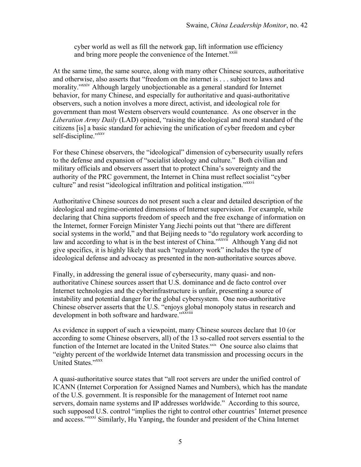cyber world as well as fill the network gap, lift information use efficiency and bring more people the convenience of the Internet.<sup>xxiii</sup>

At the same time, the same source, along with many other Chinese sources, authoritative and otherwise, also asserts that "freedom on the internet is . . . subject to laws and morality.<sup>"xxiv</sup> Although largely unobjectionable as a general standard for Internet behavior, for many Chinese, and especially for authoritative and quasi-authoritative observers, such a notion involves a more direct, activist, and ideological role for government than most Western observers would countenance. As one observer in the *Liberation Army Daily* (LAD) opined, "raising the ideological and moral standard of the citizens [is] a basic standard for achieving the unification of cyber freedom and cyber self-discipline."<sup>xxv</sup>

For these Chinese observers, the "ideological" dimension of cybersecurity usually refers to the defense and expansion of "socialist ideology and culture." Both civilian and military officials and observers assert that to protect China's sovereignty and the authority of the PRC government, the Internet in China must reflect socialist "cyber culture" and resist "ideological infiltration and political instigation."<sup>xxvi</sup>

Authoritative Chinese sources do not present such a clear and detailed description of the ideological and regime-oriented dimensions of Internet supervision. For example, while declaring that China supports freedom of speech and the free exchange of information on the Internet, former Foreign Minister Yang Jiechi points out that "there are different social systems in the world," and that Beijing needs to "do regulatory work according to law and according to what is in the best interest of China."<sup>xxvii</sup> Although Yang did not give specifics, it is highly likely that such "regulatory work" includes the type of ideological defense and advocacy as presented in the non-authoritative sources above.

Finally, in addressing the general issue of cybersecurity, many quasi- and nonauthoritative Chinese sources assert that U.S. dominance and de facto control over Internet technologies and the cyberinfrastructure is unfair, presenting a source of instability and potential danger for the global cybersystem. One non-authoritative Chinese observer asserts that the U.S. "enjoys global monopoly status in research and development in both software and hardware."xxviii

As evidence in support of such a viewpoint, many Chinese sources declare that 10 (or according to some Chinese observers, all) of the 13 so-called root servers essential to the function of the Internet are located in the United States.<sup>xxix</sup> One source also claims that "eighty percent of the worldwide Internet data transmission and processing occurs in the United States."<sup>xxx</sup>

A quasi-authoritative source states that "all root servers are under the unified control of ICANN (Internet Corporation for Assigned Names and Numbers), which has the mandate of the U.S. government. It is responsible for the management of Internet root name servers, domain name systems and IP addresses worldwide." According to this source, such supposed U.S. control "implies the right to control other countries' Internet presence and access."<sup>xxxxi</sup> Similarly, Hu Yanping, the founder and president of the China Internet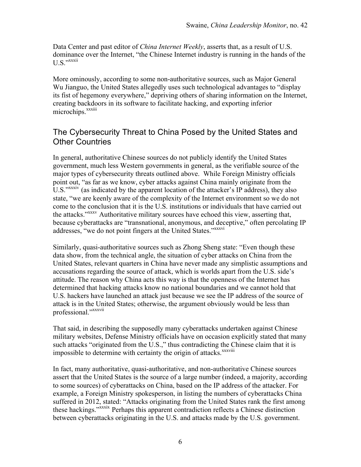Data Center and past editor of *China Internet Weekly*, asserts that, as a result of U.S. dominance over the Internet, "the Chinese Internet industry is running in the hands of the  $U.S.$ <sup>"xxxii</sup>

More ominously, according to some non-authoritative sources, such as Major General Wu Jianguo, the United States allegedly uses such technological advantages to "display its fist of hegemony everywhere," depriving others of sharing information on the Internet, creating backdoors in its software to facilitate hacking, and exporting inferior microchips.<sup>xxxiii</sup>

## The Cybersecurity Threat to China Posed by the United States and Other Countries

In general, authoritative Chinese sources do not publicly identify the United States government, much less Western governments in general, as the verifiable source of the major types of cybersecurity threats outlined above. While Foreign Ministry officials point out, "as far as we know, cyber attacks against China mainly originate from the U.S.<sup>"xxxiv</sup> (as indicated by the apparent location of the attacker's IP address), they also state, "we are keenly aware of the complexity of the Internet environment so we do not come to the conclusion that it is the U.S. institutions or individuals that have carried out the attacks."xxxv Authoritative military sources have echoed this view, asserting that, because cyberattacks are "transnational, anonymous, and deceptive," often percolating IP addresses, "we do not point fingers at the United States." xxxvi

Similarly, quasi-authoritative sources such as Zhong Sheng state: "Even though these data show, from the technical angle, the situation of cyber attacks on China from the United States, relevant quarters in China have never made any simplistic assumptions and accusations regarding the source of attack, which is worlds apart from the U.S. side's attitude. The reason why China acts this way is that the openness of the Internet has determined that hacking attacks know no national boundaries and we cannot hold that U.S. hackers have launched an attack just because we see the IP address of the source of attack is in the United States; otherwise, the argument obviously would be less than professional."xxxvii

That said, in describing the supposedly many cyberattacks undertaken against Chinese military websites, Defense Ministry officials have on occasion explicitly stated that many such attacks "originated from the U.S.," thus contradicting the Chinese claim that it is impossible to determine with certainty the origin of attacks.<sup>xxxviii</sup>

In fact, many authoritative, quasi-authoritative, and non-authoritative Chinese sources assert that the United States is the source of a large number (indeed, a majority, according to some sources) of cyberattacks on China, based on the IP address of the attacker. For example, a Foreign Ministry spokesperson, in listing the numbers of cyberattacks China suffered in 2012, stated: "Attacks originating from the United States rank the first among these hackings."xxxix Perhaps this apparent contradiction reflects a Chinese distinction between cyberattacks originating in the U.S. and attacks made by the U.S. government.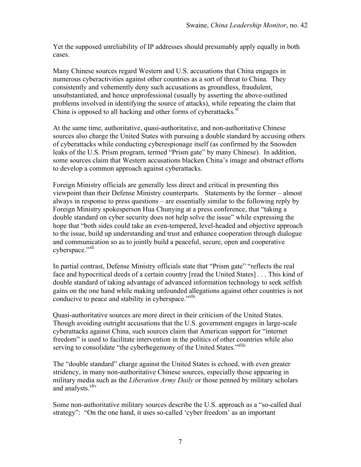Yet the supposed unreliability of IP addresses should presumably apply equally in both cases.

Many Chinese sources regard Western and U.S. accusations that China engages in numerous cyberactivities against other countries as a sort of threat to China. They consistently and vehemently deny such accusations as groundless, fraudulent, unsubstantiated, and hence unprofessional (usually by asserting the above-outlined problems involved in identifying the source of attacks), while repeating the claim that China is opposed to all hacking and other forms of cyberattacks. $X<sup>1</sup>$ 

At the same time, authoritative, quasi-authoritative, and non-authoritative Chinese sources also charge the United States with pursuing a double standard by accusing others of cyberattacks while conducting cyberespionage itself (as confirmed by the Snowden leaks of the U.S. Prism program, termed "Prism gate" by many Chinese). In addition, some sources claim that Western accusations blacken China's image and obstruct efforts to develop a common approach against cyberattacks.

Foreign Ministry officials are generally less direct and critical in presenting this viewpoint than their Defense Ministry counterparts. Statements by the former – almost always in response to press questions – are essentially similar to the following reply by Foreign Ministry spokesperson Hua Chunying at a press conference, that "taking a double standard on cyber security does not help solve the issue" while expressing the hope that "both sides could take an even-tempered, level-headed and objective approach to the issue, build up understanding and trust and enhance cooperation through dialogue and communication so as to jointly build a peaceful, secure, open and cooperative cyberspace."<sup>xli</sup>

In partial contrast, Defense Ministry officials state that "Prism gate" "reflects the real face and hypocritical deeds of a certain country [read the United States] . . . This kind of double standard of taking advantage of advanced information technology to seek selfish gains on the one hand while making unfounded allegations against other countries is not conducive to peace and stability in cyberspace."<sup>xlii</sup>

Quasi-authoritative sources are more direct in their criticism of the United States. Though avoiding outright accusations that the U.S. government engages in large-scale cyberattacks against China, such sources claim that American support for "internet freedom" is used to facilitate intervention in the politics of other countries while also serving to consolidate "the cyberhegemony of the United States."<sup>xliii</sup>

The "double standard" charge against the United States is echoed, with even greater stridency, in many non-authoritative Chinese sources, especially those appearing in military media such as the *Liberation Army Daily* or those penned by military scholars and analysts.<sup>xliv</sup>

Some non-authoritative military sources describe the U.S. approach as a "so-called dual strategy": "On the one hand, it uses so-called 'cyber freedom' as an important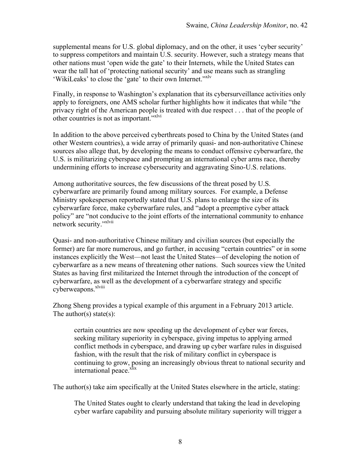supplemental means for U.S. global diplomacy, and on the other, it uses 'cyber security' to suppress competitors and maintain U.S. security. However, such a strategy means that other nations must 'open wide the gate' to their Internets, while the United States can wear the tall hat of 'protecting national security' and use means such as strangling 'WikiLeaks' to close the 'gate' to their own Internet."xlv

Finally, in response to Washington's explanation that its cybersurveillance activities only apply to foreigners, one AMS scholar further highlights how it indicates that while "the privacy right of the American people is treated with due respect . . . that of the people of other countries is not as important."<sup>xlvi</sup>

In addition to the above perceived cyberthreats posed to China by the United States (and other Western countries), a wide array of primarily quasi- and non-authoritative Chinese sources also allege that, by developing the means to conduct offensive cyberwarfare, the U.S. is militarizing cyberspace and prompting an international cyber arms race, thereby undermining efforts to increase cybersecurity and aggravating Sino-U.S. relations.

Among authoritative sources, the few discussions of the threat posed by U.S. cyberwarfare are primarily found among military sources. For example, a Defense Ministry spokesperson reportedly stated that U.S. plans to enlarge the size of its cyberwarfare force, make cyberwarfare rules, and "adopt a preemptive cyber attack policy" are "not conducive to the joint efforts of the international community to enhance network security."xlvii

Quasi- and non-authoritative Chinese military and civilian sources (but especially the former) are far more numerous, and go further, in accusing "certain countries" or in some instances explicitly the West—not least the United States—of developing the notion of cyberwarfare as a new means of threatening other nations. Such sources view the United States as having first militarized the Internet through the introduction of the concept of cyberwarfare, as well as the development of a cyberwarfare strategy and specific cyberweapons.<sup>xlviii</sup>

Zhong Sheng provides a typical example of this argument in a February 2013 article. The author(s) state(s):

certain countries are now speeding up the development of cyber war forces, seeking military superiority in cyberspace, giving impetus to applying armed conflict methods in cyberspace, and drawing up cyber warfare rules in disguised fashion, with the result that the risk of military conflict in cyberspace is continuing to grow, posing an increasingly obvious threat to national security and international peace.xlix

The author(s) take aim specifically at the United States elsewhere in the article, stating:

The United States ought to clearly understand that taking the lead in developing cyber warfare capability and pursuing absolute military superiority will trigger a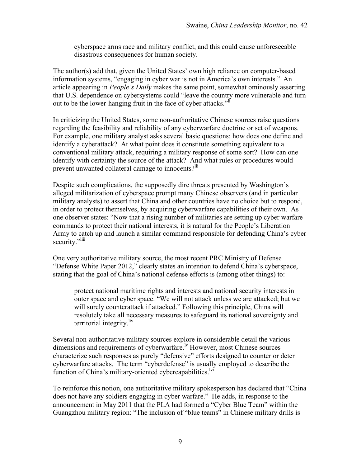cyberspace arms race and military conflict, and this could cause unforeseeable disastrous consequences for human society.

The author(s) add that, given the United States' own high reliance on computer-based information systems, "engaging in cyber war is not in America's own interests."<sup>1</sup> An article appearing in *People's Daily* makes the same point, somewhat ominously asserting that U.S. dependence on cybersystems could "leave the country more vulnerable and turn out to be the lower-hanging fruit in the face of cyber attacks.<sup>"li</sup>

In criticizing the United States, some non-authoritative Chinese sources raise questions regarding the feasibility and reliability of any cyberwarfare doctrine or set of weapons. For example, one military analyst asks several basic questions: how does one define and identify a cyberattack? At what point does it constitute something equivalent to a conventional military attack, requiring a military response of some sort? How can one identify with certainty the source of the attack? And what rules or procedures would prevent unwanted collateral damage to innocents?<sup>lii</sup>

Despite such complications, the supposedly dire threats presented by Washington's alleged militarization of cyberspace prompt many Chinese observers (and in particular military analysts) to assert that China and other countries have no choice but to respond, in order to protect themselves, by acquiring cyberwarfare capabilities of their own. As one observer states: "Now that a rising number of militaries are setting up cyber warfare commands to protect their national interests, it is natural for the People's Liberation Army to catch up and launch a similar command responsible for defending China's cyber security."<sup>liii</sup>

One very authoritative military source, the most recent PRC Ministry of Defense "Defense White Paper 2012," clearly states an intention to defend China's cyberspace, stating that the goal of China's national defense efforts is (among other things) to:

protect national maritime rights and interests and national security interests in outer space and cyber space. "We will not attack unless we are attacked; but we will surely counterattack if attacked." Following this principle, China will resolutely take all necessary measures to safeguard its national sovereignty and territorial integrity.<sup>liv</sup>

Several non-authoritative military sources explore in considerable detail the various dimensions and requirements of cyberwarfare.<sup>lv</sup> However, most Chinese sources characterize such responses as purely "defensive" efforts designed to counter or deter cyberwarfare attacks. The term "cyberdefense" is usually employed to describe the function of China's military-oriented cybercapabilities.<sup>lvi</sup>

To reinforce this notion, one authoritative military spokesperson has declared that "China does not have any soldiers engaging in cyber warfare." He adds, in response to the announcement in May 2011 that the PLA had formed a "Cyber Blue Team" within the Guangzhou military region: "The inclusion of "blue teams" in Chinese military drills is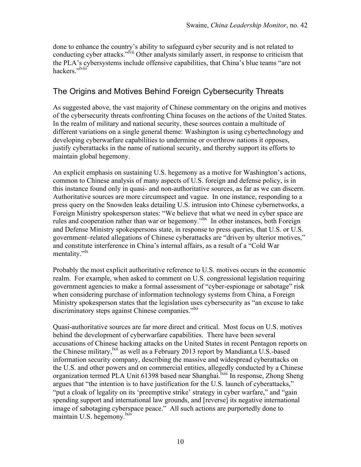done to enhance the country's ability to safeguard cyber security and is not related to conducting cyber attacks."<sup> $\overline{v}$ ivii Other analysts similarly assert, in response to criticism that</sup> the PLA's cybersystems include offensive capabilities, that China's blue teams "are not hackers."<sup>lviii</sup>

## The Origins and Motives Behind Foreign Cybersecurity Threats

As suggested above, the vast majority of Chinese commentary on the origins and motives of the cybersecurity threats confronting China focuses on the actions of the United States. In the realm of military and national security, these sources contain a multitude of different variations on a single general theme: Washington is using cybertechnology and developing cyberwarfare capabilities to undermine or overthrow nations it opposes, justify cyberattacks in the name of national security, and thereby support its efforts to maintain global hegemony.

An explicit emphasis on sustaining U.S. hegemony as a motive for Washington's actions, common to Chinese analysis of many aspects of U.S. foreign and defense policy, is in this instance found only in quasi- and non-authoritative sources, as far as we can discern. Authoritative sources are more circumspect and vague. In one instance, responding to a press query on the Snowden leaks detailing U.S. intrusion into Chinese cybernetworks, a Foreign Ministry spokesperson states: "We believe that what we need in cyber space are rules and cooperation rather than war or hegemony."lix In other instances, both Foreign and Defense Ministry spokespersons state, in response to press queries, that U.S. or U.S. government–related allegations of Chinese cyberattacks are "driven by ulterior motives," and constitute interference in China's internal affairs, as a result of a "Cold War mentality."<sup>1x</sup>

Probably the most explicit authoritative reference to U.S. motives occurs in the economic realm. For example, when asked to comment on U.S. congressional legislation requiring government agencies to make a formal assessment of "cyber-espionage or sabotage" risk when considering purchase of information technology systems from China, a Foreign Ministry spokesperson states that the legislation uses cybersecurity as "an excuse to take discriminatory steps against Chinese companies."<sup>IXI</sup>

Quasi-authoritative sources are far more direct and critical. Most focus on U.S. motives behind the development of cyberwarfare capabilities. There have been several accusations of Chinese hacking attacks on the United States in recent Pentagon reports on the Chinese military, <sup>kii</sup> as well as a February 2013 report by Mandiant, a U.S.-based information security company, describing the massive and widespread cyberattacks on the U.S. and other powers and on commercial entities, allegedly conducted by a Chinese organization termed PLA Unit 61398 based near Shanghai.<sup>Ixiii</sup> In response, Zhong Sheng argues that "the intention is to have justification for the U.S. launch of cyberattacks," "put a cloak of legality on its 'preemptive strike' strategy in cyber warfare," and "gain spending support and international law grounds, and [reverse] its negative international image of sabotaging cyberspace peace." All such actions are purportedly done to maintain U.S. hegemony. ${}^{\text{lxi}\bar{\text{v}}}$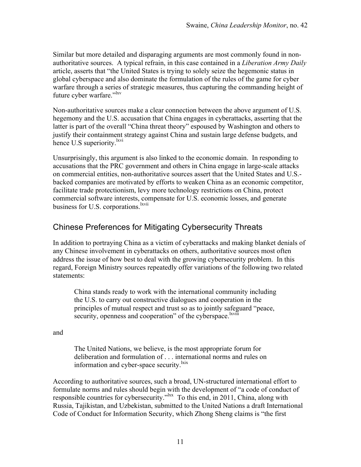Similar but more detailed and disparaging arguments are most commonly found in nonauthoritative sources. A typical refrain, in this case contained in a *Liberation Army Daily* article, asserts that "the United States is trying to solely seize the hegemonic status in global cyberspace and also dominate the formulation of the rules of the game for cyber warfare through a series of strategic measures, thus capturing the commanding height of future cyber warfare."<sup>lxv</sup>

Non-authoritative sources make a clear connection between the above argument of U.S. hegemony and the U.S. accusation that China engages in cyberattacks, asserting that the latter is part of the overall "China threat theory" espoused by Washington and others to justify their containment strategy against China and sustain large defense budgets, and hence U.S superiority.<sup>lxvi</sup>

Unsurprisingly, this argument is also linked to the economic domain. In responding to accusations that the PRC government and others in China engage in large-scale attacks on commercial entities, non-authoritative sources assert that the United States and U.S. backed companies are motivated by efforts to weaken China as an economic competitor, facilitate trade protectionism, levy more technology restrictions on China, protect commercial software interests, compensate for U.S. economic losses, and generate business for U.S. corporations.<sup>lxvii</sup>

## Chinese Preferences for Mitigating Cybersecurity Threats

In addition to portraying China as a victim of cyberattacks and making blanket denials of any Chinese involvement in cyberattacks on others, authoritative sources most often address the issue of how best to deal with the growing cybersecurity problem. In this regard, Foreign Ministry sources repeatedly offer variations of the following two related statements:

China stands ready to work with the international community including the U.S. to carry out constructive dialogues and cooperation in the principles of mutual respect and trust so as to jointly safeguard "peace, security, openness and cooperation" of the cyberspace.<sup>lxviii</sup>

and

The United Nations, we believe, is the most appropriate forum for deliberation and formulation of . . . international norms and rules on information and cyber-space security.<sup>lxix</sup>

According to authoritative sources, such a broad, UN-structured international effort to formulate norms and rules should begin with the development of "a code of conduct of responsible countries for cybersecurity."<sup>Ixx</sup> To this end, in 2011, China, along with Russia, Tajikistan, and Uzbekistan, submitted to the United Nations a draft International Code of Conduct for Information Security, which Zhong Sheng claims is "the first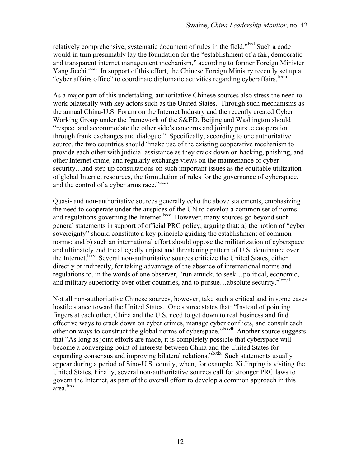relatively comprehensive, systematic document of rules in the field."<sup>Ixxi</sup> Such a code would in turn presumably lay the foundation for the "establishment of a fair, democratic and transparent internet management mechanism," according to former Foreign Minister Yang Jiechi.<sup>lxxii</sup> In support of this effort, the Chinese Foreign Ministry recently set up a "cyber affairs office" to coordinate diplomatic activities regarding cyberaffairs.<sup>1xxiii</sup>

As a major part of this undertaking, authoritative Chinese sources also stress the need to work bilaterally with key actors such as the United States. Through such mechanisms as the annual China-U.S. Forum on the Internet Industry and the recently created Cyber Working Group under the framework of the S&ED, Beijing and Washington should "respect and accommodate the other side's concerns and jointly pursue cooperation through frank exchanges and dialogue." Specifically, according to one authoritative source, the two countries should "make use of the existing cooperative mechanism to provide each other with judicial assistance as they crack down on hacking, phishing, and other Internet crime, and regularly exchange views on the maintenance of cyber security…and step up consultations on such important issues as the equitable utilization of global Internet resources, the formulation of rules for the governance of cyberspace, and the control of a cyber arms race."<sup>Ixxiv</sup>

Quasi- and non-authoritative sources generally echo the above statements, emphasizing the need to cooperate under the auspices of the UN to develop a common set of norms and regulations governing the Internet.<sup>1xxv</sup> However, many sources go beyond such general statements in support of official PRC policy, arguing that: a) the notion of "cyber sovereignty" should constitute a key principle guiding the establishment of common norms; and b) such an international effort should oppose the militarization of cyberspace and ultimately end the allegedly unjust and threatening pattern of U.S. dominance over the Internet.<sup>lxxvi</sup> Several non-authoritative sources criticize the United States, either directly or indirectly, for taking advantage of the absence of international norms and regulations to, in the words of one observer, "run amuck, to seek…political, economic, and military superiority over other countries, and to pursue...absolute security."<sup>IXXVII</sup>

Not all non-authoritative Chinese sources, however, take such a critical and in some cases hostile stance toward the United States. One source states that: "Instead of pointing fingers at each other, China and the U.S. need to get down to real business and find effective ways to crack down on cyber crimes, manage cyber conflicts, and consult each other on ways to construct the global norms of cyberspace."<sup>Ixxviii</sup> Another source suggests that "As long as joint efforts are made, it is completely possible that cyberspace will become a converging point of interests between China and the United States for expanding consensus and improving bilateral relations."<sup>Ixxix</sup> Such statements usually appear during a period of Sino-U.S. comity, when, for example, Xi Jinping is visiting the United States. Finally, several non-authoritative sources call for stronger PRC laws to govern the Internet, as part of the overall effort to develop a common approach in this area<sup>lxxx</sup>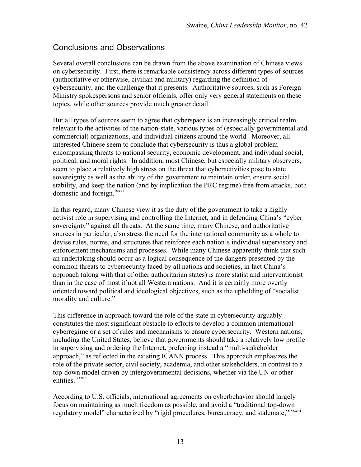## Conclusions and Observations

Several overall conclusions can be drawn from the above examination of Chinese views on cybersecurity. First, there is remarkable consistency across different types of sources (authoritative or otherwise, civilian and military) regarding the definition of cybersecurity, and the challenge that it presents. Authoritative sources, such as Foreign Ministry spokespersons and senior officials, offer only very general statements on these topics, while other sources provide much greater detail.

But all types of sources seem to agree that cyberspace is an increasingly critical realm relevant to the activities of the nation-state, various types of (especially governmental and commercial) organizations, and individual citizens around the world. Moreover, all interested Chinese seem to conclude that cybersecurity is thus a global problem encompassing threats to national security, economic development, and individual social, political, and moral rights. In addition, most Chinese, but especially military observers, seem to place a relatively high stress on the threat that cyberactivities pose to state sovereignty as well as the ability of the government to maintain order, ensure social stability, and keep the nation (and by implication the PRC regime) free from attacks, both domestic and foreign.<sup>lxxxi</sup>

In this regard, many Chinese view it as the duty of the government to take a highly activist role in supervising and controlling the Internet, and in defending China's "cyber sovereignty" against all threats. At the same time, many Chinese, and authoritative sources in particular, also stress the need for the international community as a whole to devise rules, norms, and structures that reinforce each nation's individual supervisory and enforcement mechanisms and processes. While many Chinese apparently think that such an undertaking should occur as a logical consequence of the dangers presented by the common threats to cybersecurity faced by all nations and societies, in fact China's approach (along with that of other authoritarian states) is more statist and interventionist than in the case of most if not all Western nations. And it is certainly more overtly oriented toward political and ideological objectives, such as the upholding of "socialist morality and culture."

This difference in approach toward the role of the state in cybersecurity arguably constitutes the most significant obstacle to efforts to develop a common international cyberregime or a set of rules and mechanisms to ensure cybersecurity. Western nations, including the United States, believe that governments should take a relatively low profile in supervising and ordering the Internet, preferring instead a "multi-stakeholder approach," as reflected in the existing ICANN process. This approach emphasizes the role of the private sector, civil society, academia, and other stakeholders, in contrast to a top-down model driven by intergovernmental decisions, whether via the UN or other entities.<sup>lxxxii</sup>

According to U.S. officials, international agreements on cyberbehavior should largely focus on maintaining as much freedom as possible, and avoid a "traditional top-down regulatory model" characterized by "rigid procedures, bureaucracy, and stalemate,"lxxxiii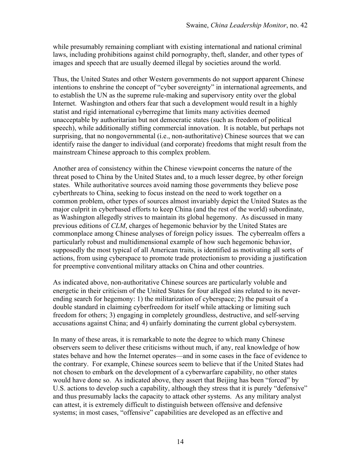while presumably remaining compliant with existing international and national criminal laws, including prohibitions against child pornography, theft, slander, and other types of images and speech that are usually deemed illegal by societies around the world.

Thus, the United States and other Western governments do not support apparent Chinese intentions to enshrine the concept of "cyber sovereignty" in international agreements, and to establish the UN as the supreme rule-making and supervisory entity over the global Internet. Washington and others fear that such a development would result in a highly statist and rigid international cyberregime that limits many activities deemed unacceptable by authoritarian but not democratic states (such as freedom of political speech), while additionally stifling commercial innovation. It is notable, but perhaps not surprising, that no nongovernmental (i.e., non-authoritative) Chinese sources that we can identify raise the danger to individual (and corporate) freedoms that might result from the mainstream Chinese approach to this complex problem.

Another area of consistency within the Chinese viewpoint concerns the nature of the threat posed to China by the United States and, to a much lesser degree, by other foreign states. While authoritative sources avoid naming those governments they believe pose cyberthreats to China, seeking to focus instead on the need to work together on a common problem, other types of sources almost invariably depict the United States as the major culprit in cyberbased efforts to keep China (and the rest of the world) subordinate, as Washington allegedly strives to maintain its global hegemony. As discussed in many previous editions of *CLM*, charges of hegemonic behavior by the United States are commonplace among Chinese analyses of foreign policy issues. The cyberrealm offers a particularly robust and multidimensional example of how such hegemonic behavior, supposedly the most typical of all American traits, is identified as motivating all sorts of actions, from using cyberspace to promote trade protectionism to providing a justification for preemptive conventional military attacks on China and other countries.

As indicated above, non-authoritative Chinese sources are particularly voluble and energetic in their criticism of the United States for four alleged sins related to its neverending search for hegemony: 1) the militarization of cyberspace; 2) the pursuit of a double standard in claiming cyberfreedom for itself while attacking or limiting such freedom for others; 3) engaging in completely groundless, destructive, and self-serving accusations against China; and 4) unfairly dominating the current global cybersystem.

In many of these areas, it is remarkable to note the degree to which many Chinese observers seem to deliver these criticisms without much, if any, real knowledge of how states behave and how the Internet operates—and in some cases in the face of evidence to the contrary. For example, Chinese sources seem to believe that if the United States had not chosen to embark on the development of a cyberwarfare capability, no other states would have done so. As indicated above, they assert that Beijing has been "forced" by U.S. actions to develop such a capability, although they stress that it is purely "defensive" and thus presumably lacks the capacity to attack other systems. As any military analyst can attest, it is extremely difficult to distinguish between offensive and defensive systems; in most cases, "offensive" capabilities are developed as an effective and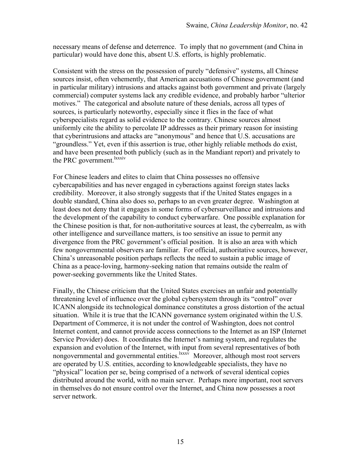necessary means of defense and deterrence. To imply that no government (and China in particular) would have done this, absent U.S. efforts, is highly problematic.

Consistent with the stress on the possession of purely "defensive" systems, all Chinese sources insist, often vehemently, that American accusations of Chinese government (and in particular military) intrusions and attacks against both government and private (largely commercial) computer systems lack any credible evidence, and probably harbor "ulterior motives." The categorical and absolute nature of these denials, across all types of sources, is particularly noteworthy, especially since it flies in the face of what cyberspecialists regard as solid evidence to the contrary. Chinese sources almost uniformly cite the ability to percolate IP addresses as their primary reason for insisting that cyberintrusions and attacks are "anonymous" and hence that U.S. accusations are "groundless." Yet, even if this assertion is true, other highly reliable methods do exist, and have been presented both publicly (such as in the Mandiant report) and privately to the PRC government.<sup>lxxxiv</sup>

For Chinese leaders and elites to claim that China possesses no offensive cybercapabilities and has never engaged in cyberactions against foreign states lacks credibility. Moreover, it also strongly suggests that if the United States engages in a double standard, China also does so, perhaps to an even greater degree. Washington at least does not deny that it engages in some forms of cybersurveillance and intrusions and the development of the capability to conduct cyberwarfare. One possible explanation for the Chinese position is that, for non-authoritative sources at least, the cyberrealm, as with other intelligence and surveillance matters, is too sensitive an issue to permit any divergence from the PRC government's official position. It is also an area with which few nongovernmental observers are familiar. For official, authoritative sources, however, China's unreasonable position perhaps reflects the need to sustain a public image of China as a peace-loving, harmony-seeking nation that remains outside the realm of power-seeking governments like the United States.

Finally, the Chinese criticism that the United States exercises an unfair and potentially threatening level of influence over the global cybersystem through its "control" over ICANN alongside its technological dominance constitutes a gross distortion of the actual situation. While it is true that the ICANN governance system originated within the U.S. Department of Commerce, it is not under the control of Washington, does not control Internet content, and cannot provide access connections to the Internet as an ISP (Internet Service Provider) does. It coordinates the Internet's naming system, and regulates the expansion and evolution of the Internet, with input from several representatives of both nongovernmental and governmental entities.<sup>lxxxv</sup> Moreover, although most root servers are operated by U.S. entities, according to knowledgeable specialists, they have no "physical" location per se, being comprised of a network of several identical copies distributed around the world, with no main server. Perhaps more important, root servers in themselves do not ensure control over the Internet, and China now possesses a root server network.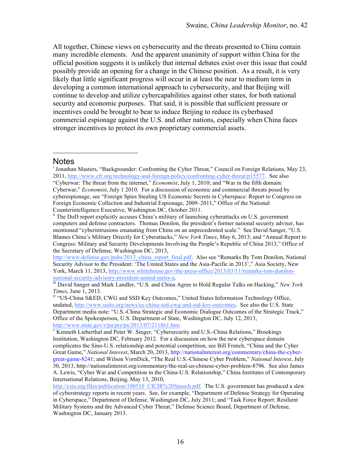All together, Chinese views on cybersecurity and the threats presented to China contain many incredible elements. And the apparent unanimity of support within China for the official position suggests it is unlikely that internal debates exist over this issue that could possibly provide an opening for a change in the Chinese position. As a result, it is very likely that little significant progress will occur in at least the near to medium term in developing a common international approach to cybersecurity, and that Beijing will continue to develop and utilize cybercapabilities against other states, for both national security and economic purposes. That said, it is possible that sufficient pressure or incentives could be brought to bear to induce Beijing to reduce its cyberbased commercial espionage against the U.S. and other nations, especially when China faces stronger incentives to protect its own proprietary commercial assets.

#### **Notes**

 $\overline{a}$ 

ii The DoD report explicitly accuses China's military of launching cyberattacks on U.S. government computers and defense contractors. Thomas Donilon, the president's former national security adviser, has mentioned "cyberintrusions emanating from China on an unprecedented scale." See David Sanger, "U.S. Blames China's Military Directly for Cyberattacks," *New York Times*, May 6, 2013; and "Annual Report to Congress: Military and Security Developments Involving the People's Republic of China 2013," Office of the Secretary of Defense, Washington DC, 2013,

http://www.defense.gov/pubs/2013\_china\_report\_final.pdf. Also see "Remarks By Tom Donilon, National Security Advisor to the President: 'The United States and the Asia-Pacific in 2013'," Asia Society, New York, March 11, 2013, http://www.whitehouse.gov/the-press-office/2013/03/11/remarks-tom-donilonnational-security-advisory-president-united-states-a.<br>iii David Sanger and Mark Landler, "U.S. and China Agree to Hold Regular Talks on Hacking," *New York* 

iv "US-China S&ED, CWG and SSD Key Outcomes," United States Information Technology Office, undated, http://www.usito.org/news/us-china-sed-cwg-and-ssd-key-outcomes. See also the U.S. State Department media note: "U.S.-China Strategic and Economic Dialogue Outcomes of the Strategic Track," Office of the Spokesperson, U.S. Department of State, Washington DC, July 12, 2013, http://www.state.gov/r/pa/prs/ps/2013/07/211861.htm

<sup>v</sup> Kenneth Lieberthal and Peter W. Singer, "Cybersecurity and U.S.-China Relations," Brookings Institution, Washington DC, February 2012. For a discussion on how the new cyberspace domain complicates the Sino-U.S. relationship and potential competition, see Bill French, "China and the Cyber Great Game," *National Interest*, March 20, 2013, http://nationalinterest.org/commentary/china-the-cybergreat-game-8241; and Wilson VornDick, "The Real U.S.-Chinese Cyber Problem," *National Interest*, July 30, 2013, http://nationalinterest.org/commentary/the-real-us-chinese-cyber-problem-8796. See also James A. Lewis, "Cyber War and Competition in the China-U.S. Relationship," China Institutes of Contemporary International Relations, Beijing, May 13, 2010,

http://csis.org/files/publication/100510\_CICIR%20Speech.pdf*.* The U.S. government has produced a slew of cyberstrategy reports in recent years. See, for example, "Department of Defense Strategy for Operating in Cyberspace," Department of Defense, Washington DC, July 2011; and "Task Force Report: Resilient Military Systems and the Advanced Cyber Threat," Defense Science Board, Department of Defense, Washington DC, January 2013.

<sup>&</sup>lt;sup>i</sup> Jonathan Masters, "Backgrounder: Confronting the Cyber Threat," Council on Foreign Relations, May 23, 2011, http://www.cfr.org/technology-and-foreign-policy/confronting-cyber-threat/p15577. See also "Cyberwar: The threat from the internet," *Economist*, July 1, 2010; and "War in the fifth domain: Cyberwar," *Economist*, July 1 2010. For a discussion of economic and commercial threats posed by cyberespionage, see "Foreign Spies Stealing US Economic Secrets in Cyberspace: Report to Congress on Foreign Economic Collection and Industrial Espionage, 2009–2011," Office of the National Counterintelligence Executive, Washington DC, October 2011.

*Times*, June 1, 2013.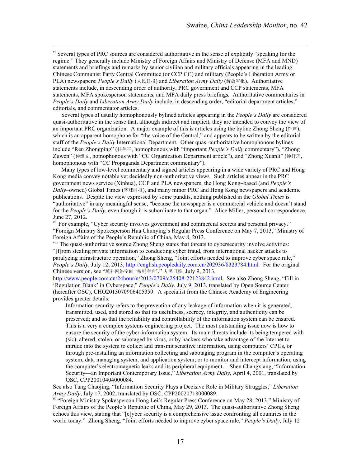v<sup>i</sup> Several types of PRC sources are considered authoritative in the sense of explicitly "speaking for the regime." They generally include Ministry of Foreign Affairs and Ministry of Defense (MFA and MND) statements and briefings and remarks by senior civilian and military officials appearing in the leading Chinese Communist Party Central Committee (or CCP CC) and military (People's Liberation Army or PLA) newspapers: *People's Daily* (人民日报) and *Liberation Army Daily* (解放军报)*.* Authoritative statements include, in descending order of authority, PRC government and CCP statements, MFA statements, MFA spokesperson statements, and MFA daily press briefings*.* Authoritative commentaries in *People's Daily* and *Liberation Army Daily* include, in descending order, "editorial department articles," editorials, and commentator articles.

Several types of usually homophonously bylined articles appearing in the *People's Daily* are considered quasi-authoritative in the sense that, although indirect and implicit, they are intended to convey the view of an important PRC organization*.* A major example of this is articles using the byline Zhong Sheng (钟声), which is an apparent homophone for "the voice of the Central," and appears to be written by the editorial staff of the *People's Daily* International Department*.* Other quasi-authoritative homophonous bylines include "Ren Zhongping" (任仲平, homophonous with "important *People's Daily* commentary"), "Zhong Zuwen" (仲组文, homophonous with "CC Organization Department article"), and "Zhong Xuanli" (钟轩理, homophonous with "CC Propaganda Department commentary")*.* 

Many types of low-level commentary and signed articles appearing in a wide variety of PRC and Hong Kong media convey notable yet decidedly non-authoritative views*.* Such articles appear in the PRC government news service (Xinhua), CCP and PLA newspapers, the Hong Kong–based (and *People's Daily*–owned) Global Times (环球时报), and many minor PRC and Hong Kong newspapers and academic publications*.* Despite the view expressed by some pundits, nothing published in the *Global Times* is "authoritative" in any meaningful sense, "because the newspaper is a commercial vehicle and doesn't stand for the *People's Daily*, even though it is subordinate to that organ." Alice Miller, personal correspondence, June 27, 2012.<br>vii For example, "Cyber security involves government and commercial secrets and personal privacy."

"Foreign Ministry Spokesperson Hua Chunying's Regular Press Conference on May 7, 2013," Ministry of Foreign Affairs of the People's Republic of China, May 8, 2013.

<sup>viii</sup> The quasi-authoritative source Zhong Sheng states that threats to cybersecurity involve activities: "[f]rom stealing private information to conducting cyber fraud, from international hacker attacks to paralyzing infrastructure operation," Zhong Sheng, "Joint efforts needed to improve cyber space rule," *People's Daily*, July 12, 2013, http://english.peopledaily.com.cn/202936/8323784.html*.* For the original Chinese version, see "填补网络空间 '规则空白'," 人民日报, July 9, 2013,

http://www.people.com.cn/24hour/n/2013/0709/c25408-22123842.html*.* See also Zhong Sheng, "Fill in 'Regulation Blank' in Cyberspace," *People's Daily*, July 9, 2013, translated by Open Source Center (hereafter OSC), CHO2013070906405359. A specialist from the Chinese Academy of Engineering provides greater details:

Information security refers to the prevention of any leakage of information when it is generated, transmitted, used, and stored so that its usefulness, secrecy, integrity, and authenticity can be preserved; and so that the reliability and controllability of the information system can be ensured. This is a very a complex systems engineering project. The most outstanding issue now is how to ensure the security of the cyber-information system. Its main threats include its being tempered with (sic), altered, stolen, or sabotaged by virus, or by hackers who take advantage of the Internet to intrude into the system to collect and transmit sensitive information, using computers' CPUs, or through pre-installing an information collecting and sabotaging program in the computer's operating system, data managing system, and application system; or to monitor and intercept information, using the computer's electromagnetic leaks and its peripheral equipment.—Shen Changxiang, "Information Security—an Important Contemporary Issue," *Liberation Army Daily*, April 4, 2001, translated by OSC, CPP20010404000084.

See also Tang Chaojing, "Information Security Plays a Decisive Role in Military Struggles," *Liberation Army Daily*, July 17, 2002, translated by OSC, CPP20020718000089.<br><sup>ix</sup> "Foreign Ministry Spokesperson Hong Lei's Regular Press Conference on May 28, 2013," Ministry of

Foreign Affairs of the People's Republic of China, May 29, 2013. The quasi-authoritative Zhong Sheng echoes this view, stating that "[c]yber security is a comprehensive issue confronting all countries in the world today." Zhong Sheng, "Joint efforts needed to improve cyber space rule," *People's Daily*, July 12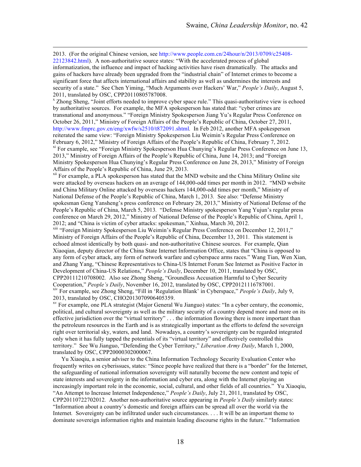2013. (For the original Chinese version, see http://www.people.com.cn/24hour/n/2013/0709/c25408- 22123842.html). A non-authoritative source states: "With the accelerated process of global informatization, the influence and impact of hacking activities have risen dramatically*.* The attacks and gains of hackers have already been upgraded from the "industrial chain" of Internet crimes to become a significant force that affects international affairs and stability as well as undermines the interests and security of a state." See Chen Yiming, "Much Arguments over Hackers' War," *People's Daily*, August 5, 2011, translated by OSC, CPP20110805787008.<br><sup>x</sup> Zhong Sheng, "Joint efforts needed to improve cyber space rule." This quasi-authoritative view is echoed

by authoritative sources. For example, the MFA spokesperson has stated that: "cyber crimes are transnational and anonymous." "Foreign Ministry Spokesperson Jiang Yu's Regular Press Conference on October 26, 2011," Ministry of Foreign Affairs of the People's Republic of China, October 27, 2011, http://www.fmprc.gov.cn/eng/xwfw/s2510/t872091.shtml*.* In Feb 2012, another MFA spokesperson reiterated the same view: "Foreign Ministry Spokesperson Liu Weimin's Regular Press Conference on February 6, 2012," Ministry of Foreign Affairs of the People's Republic of China, February 7, 2012. <sup>xi</sup> For example, see "Foreign Ministry Spokesperson Hua Chunying's Regular Press Conference on June 13, 2013," Ministry of Foreign Affairs of the People's Republic of China, June 14, 2013; and "Foreign Ministry Spokesperson Hua Chunying's Regular Press Conference on June 28, 2013," Ministry of Foreign Affairs of the People's Republic of China, June 29, 2013.

<sup>xii</sup> For example, a PLA spokesperson has stated that the MND website and the China Military Online site were attacked by overseas hackers on an average of 144,000-odd times per month in 2012. "MND website and China Military Online attacked by overseas hackers 144,000-odd times per month," Ministry of National Defense of the People's Republic of China, March 1, 2013*.* See also: "Defense Ministry spokesman Geng Yansheng's press conference on February 28, 2013," Ministry of National Defense of the People's Republic of China, March 5, 2013*.* "Defense Ministry spokesperson Yang Yujun's regular press conference on March 29, 2012," Ministry of National Defense of the People's Republic of China, April 1, 2012; and "China is victim of cyber attacks: spokesman," Xinhua, March 30, 2012.<br><sup>xiii</sup> "Foreign Ministry Spokesperson Liu Weimin's Regular Press Conference on December 12, 2011,"

Ministry of Foreign Affairs of the People's Republic of China, December 13, 2011*.* This statement is echoed almost identically by both quasi- and non-authoritative Chinese sources. For example, Qian Xiaoqian, deputy director of the China State Internet Information Office, states that "China is opposed to any form of cyber attack, any form of network warfare and cyberspace arms races." Wang Tian, Wen Xian, and Zhang Yang, "Chinese Representatives to China-US Internet Forum See Internet as Positive Factor in Development of China-US Relations," *People's Daily*, December 10, 2011, translated by OSC, CPP20111210708002*.* Also see Zhong Sheng, "Groundless Accusation Harmful to Cyber Security Cooperation," *People's Daily*, November 16, 2012, translated by OSC, CPP20121116787001. xiv For example, see Zhong Sheng, "Fill in 'Regulation Blank' in Cyberspace," *People's Daily*, July 9, 2013, translated by OSC, CHO2013070906405359.<br><sup>xv</sup> For example, one PLA strategist (Major General Wu Jianguo) states: "In a cyber century, the economic,

political, and cultural sovereignty as well as the military security of a country depend more and more on its effective jurisdiction over the "virtual territory" . . . the information flowing there is more important than the petroleum resources in the Earth and is as strategically important as the efforts to defend the sovereign right over territorial sky, waters, and land. Nowadays, a country's sovereignty can be regarded integrated only when it has fully tapped the potentials of its "virtual territory" and effectively controlled this territory." See Wu Jianguo, "Defending the Cyber Territory," *Liberation Army Daily*, March 1, 2000, translated by OSC, CPP20000302000067.

Yu Xiaoqiu, a senior adviser to the China Information Technology Security Evaluation Center who frequently writes on cyberissues, states: "Since people have realized that there is a "border" for the Internet, the safeguarding of national information sovereignty will naturally become the new content and topic of state interests and sovereignty in the information and cyber era, along with the Internet playing an increasingly important role in the economic, social, cultural, and other fields of all countries." Yu Xiaoqiu, "An Attempt to Increase Internet Independence," *People's Daily*, July 21, 2011, translated by OSC, CPP20110722702012*.* Another non-authoritative source appearing in *People's Daily* similarly states: "Information about a country's domestic and foreign affairs can be spread all over the world via the Internet*.* Sovereignty can be infiltrated under such circumstances. . . . It will be an important theme to dominate sovereign information rights and maintain leading discourse rights in the future." "Information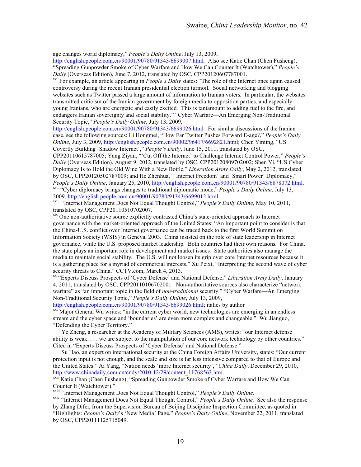age changes world diplomacy," *People's Daily Online*, July 13, 2009,

http://english.people.com.cn/90001/90780/91343/6699007.html*.* Also see Katie Chan (Chen Fusheng), "Spreading Gunpowder Smoke of Cyber Warfare and How We Can Counter It (Watchtower)," *People's Daily* (Overseas Edition), June 7, 2012, translated by OSC, CPP20120607787001.

xvi For example, an article appearing in *People's Daily* states: "The role of the Internet once again caused controversy during the recent Iranian presidential election turmoil*.* Social networking and blogging websites such as Twitter passed a large amount of information to Iranian voters*.* In particular, the websites transmitted criticism of the Iranian government by foreign media to opposition parties, and especially young Iranians, who are energetic and easily excited*.* This is tantamount to adding fuel to the fire, and endangers Iranian sovereignty and social stability." "Cyber Warfare—An Emerging Non-Traditional Security Topic," *People's Daily Online*, July 13, 2009,

http://english.people.com.cn/90001/90780/91343/6699026.html*.* For similar discussions of the Iranian case, see the following sources: Li Hongmei, "How Far Twitter Pushes Forward E-age?," *People's Daily Online*, July 3, 2009, http://english.people.com.cn/90002/96417/6692821.html; Chen Yiming, "US Covertly Building 'Shadow Internet'," *People's Daily*, June 15, 2011, translated by OSC,

CPP20110615787005; Yang Ziyan, "'Cut Off the Internet' to Challenge Internet Control Power," *People's Daily* (Overseas Edition), August 9, 2012, translated by OSC, CPP20120809702002; Shen Yi, "US Cyber Diplomacy Is to Hold the Old Wine With a New Bottle," *Liberation Army Daily*, May 2, 2012, translated by OSC, CPP20120502787009; and He Zhenhua, "'Internet Freedom' and 'Smart Power' Diplomacy," *People's Daily Online*, January 25, 2010, http://english.people.com.cn/90001/90780/91343/6878072.html. <br><sup>xvii</sup> "Cyber diplomacy brings changes to traditional diplomatic mode," *People's Daily Online*, July 13, 2009, http://english.people.com.cn/90001/90780/91343/6699012.html. xviii "Internet Management Does Not Equal Thought Control," *People's Daily Online*, May 10, 2011,

translated by OSC, CPP20110510702007.

xix One non-authoritative source explicitly contrasted China's state-oriented approach to Internet governance with the market-oriented approach of the United States: "An important point to consider is that the China-U.S. conflict over Internet governance can be traced back to the first World Summit on Information Society (WSIS) in Geneva, 2003*.* China insisted on the role of state leadership in Internet governance, while the U.S. proposed market leadership*.* Both countries had their own reasons*.* For China, the state plays an important role in development and market issues*.* State authorities also manage the media to maintain social stability*.* The U.S. will not loosen its grip over core Internet resources because it is a gathering place for a myriad of commercial interests." Xu Peixi, "Interpreting the second wave of cyber security threats to China," CCTV.com, March 4, 2013.

xx "Experts Discuss Prospects of 'Cyber Defense' and National Defense," *Liberation Army Daily*, January 4, 2011, translated by OSC, CPP20110106702001*.* Non-authoritative sources also characterize "network warfare" as "an important topic in the field of *non-traditional* security." "Cyber Warfare—An Emerging Non-Traditional Security Topic," *People's Daily Online*, July 13, 2009,

http://english.people.com.cn/90001/90780/91343/6699026.html; italics by author xxi Major General Wu writes: "in the current cyber world, new technologies are emerging in an endless stream and the cyber space and 'boundaries' are even more complex and changeable." Wu Jianguo, "Defending the Cyber Territory."

Ye Zheng, a researcher at the Academy of Military Sciences (AMS), writes: "our Internet defense ability is weak. . . . we are subject to the manipulation of our core network technology by other countries." Cited in "Experts Discuss Prospects of 'Cyber Defense' and National Defense."

Su Hao, an expert on international security at the China Foreign Affairs University, states: "Our current protection input is not enough, and the scale and size is far less intensive compared to that of Europe and the United States." Ai Yang, "Nation needs 'more Internet security'," *China Daily*, December 29, 2010, http://www.chinadaily.com.cn/cndy/2010-12/29/content\_11768563.htm.<br><sup>xxii</sup> Katie Chan (Chen Fusheng), "Spreading Gunpowder Smoke of Cyber Warfare and How We Can

Counter It (Watchtower)."<br>
xxiii "Internet Management Does Not Equal Thought Control," *People's Daily Online*.

<sup>xxiv</sup> "Internet Management Does Not Equal Thought Control," *People's Daily Online*. See also the response by Zhang Difei, from the Supervision Bureau of Beijing Discipline Inspection Committee, as quoted in "Highlights: *People's Daily*'s 'New Media' Page," *People's Daily Online*, November 22, 2011, translated by OSC, CPP20111125715049.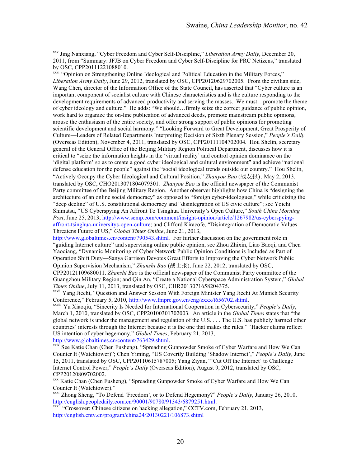xxv Jing Nanxiang, "Cyber Freedom and Cyber Self-Discipline," *Liberation Army Daily*, December 20, 2011, from "Summary: JFJB on Cyber Freedom and Cyber Self-Discipline for PRC Netizens," translated by OSC, CPP20111221088010.<br><sup>xxvi</sup> "Opinion on Strengthening Online Ideological and Political Education in the Military Forces."

*Liberation Army Daily*, June 29, 2012, translated by OSC, CPP20120629702005*.* From the civilian side, Wang Chen, director of the Information Office of the State Council, has asserted that "Cyber culture is an important component of socialist culture with Chinese characteristics and is the culture responding to the development requirements of advanced productivity and serving the masses. We must…promote the theme of cyber ideology and culture." He adds: "We should…firmly seize the correct guidance of public opinion, work hard to organize the on-line publication of advanced deeds, promote mainstream public opinions, arouse the enthusiasm of the entire society, and offer strong support of public opinions for promoting scientific development and social harmony." "Looking Forward to Great Development, Great Prosperity of Culture—Leaders of Related Departments Interpreting Decision of Sixth Plenary Session," *People's Daily* (Overseas Edition), November 4, 2011, translated by OSC, CPP20111104702004*.* Hou Shelin, secretary general of the General Office of the Beijing Military Region Political Department, discusses how it is critical to "seize the information heights in the 'virtual reality' and control opinion dominance on the 'digital platform' so as to create a good cyber ideological and cultural environment" and achieve "national defense education for the people" against the "social ideological trends outside our country." Hou Shelin, "Actively Occupy the Cyber Ideological and Cultural Position," *Zhanyou Bao* (战友报) , May 2, 2013, translated by OSC, CHO2013071804079301*. Zhanyou Bao* is the official newspaper of the Communist Party committee of the Beijing Military Region*.* Another observer highlights how China is "designing the architecture of an online social democracy" as opposed to "foreign cyber-ideologues," while criticizing the "deep decline" of U.S. constitutional democracy and "disintegration of US civic culture"; see Yoichi Shimatsu, "US Cyberspying An Affront To Tsinghua University's Open Culture," *South China Morning Post*, June 25, 2013, http://www.scmp.com/comment/insight-opinion/article/1267982/us-cyberspyingaffront-tsinghua-universitys-open-culture; and Clifford Kiracofe, "Disintegration of Democratic Values Threatens Future of US," *Global Times Online*, June 21, 2013,

http://www.globaltimes.cn/content/790543.shtml*.* For further discussion on the government role in "guiding Internet culture" and supervising online public opinion, see Zhou Zhixin, Liao Baoqi, and Chen Yaoqiang, "Dynamic Monitoring of Cyber Network Public Opinion Conditions is Included as Part of Operation Shift Duty—Sanya Garrison Devotes Great Efforts to Improving the Cyber Network Public Opinion Supervision Mechanism," *Zhanshi Bao* (战士报), June 22, 2012, translated by OSC,

CPP20121109680011. *Zhanshi Bao* is the official newspaper of the Communist Party committee of the Guangzhou Military Region; and Qin An, "Create a National Cyberspace Administration System," *Global Times Online*, July 11, 2013, translated by OSC, CHR2013071658204375.

xxvii Yang Jiechi, "Question and Answer Session With Foreign Minister Yang Jiechi At Munich Security Conference," February 5, 2010, http://www.fmprc.gov.cn/eng/zxxx/t656702.shtml. xxviii Yu Xiaoqiu, "Sincerity Is Needed for International Cooperation in Cybersecurity," *People's Daily*,

March 1, 2010, translated by OSC, CPP20100301702003*.* An article in the *Global Times* states that "the global network is under the management and regulation of the U.S. . . . The U.S. has publicly harmed other countries' interests through the Internet because it is the one that makes the rules." "Hacker claims reflect US intention of cyber hegemony," *Global Times*, February 21, 2013,

 $\frac{x}{x}$  See Katie Chan (Chen Fusheng), "Spreading Gunpowder Smoke of Cyber Warfare and How We Can Counter It (Watchtower)"; Chen Yiming, "US Covertly Building 'Shadow Internet'," *People's Daily*, June 15, 2011, translated by OSC, CPP20110615787005; Yang Ziyan, "'Cut Off the Internet' to Challenge Internet Control Power," *People's Daily* (Overseas Edition), August 9, 2012, translated by OSC, CPP20120809702002.

xxx Katie Chan (Chen Fusheng), "Spreading Gunpowder Smoke of Cyber Warfare and How We Can Counter It (Watchtower)."

<sup>xxxi</sup> Zhong Sheng, "To Defend 'Freedom', or to Defend Hegemony?" *People's Daily*, January 26, 2010, http://english.peopledaily.com.cn/90001/90780/91343/6879251.html.

xxxii "Crossover: Chinese citizens on hacking allegation," CCTV.com, February 21, 2013, http://english.cntv.cn/program/china24/20130221/106873.shtml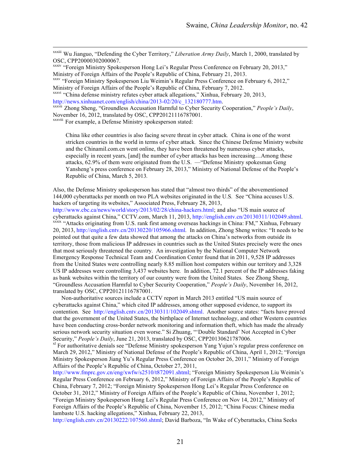xxxiii Wu Jianguo, "Defending the Cyber Territory," *Liberation Army Daily*, March 1, 2000, translated by OSC, CPP20000302000067.

xxxiv "Foreign Ministry Spokesperson Hong Lei's Regular Press Conference on February 20, 2013," Ministry of Foreign Affairs of the People's Republic of China, February 21, 2013.

xxxv "Foreign Ministry Spokesperson Liu Weimin's Regular Press Conference on February 6, 2012," Ministry of Foreign Affairs of the People's Republic of China, February 7, 2012.

xxxvi "China defense ministry refutes cyber attack allegations," Xinhua, February 20, 2013,

http://news.xinhuanet.com/english/china/2013-02/20/c\_132180777.htm. xxxvii Zhong Sheng, "Groundless Accusation Harmful to Cyber Security Cooperation," *People's Daily*, November 16, 2012, translated by OSC, CPP20121116787001.

xxxviii For example, a Defense Ministry spokesperson stated:

China like other countries is also facing severe threat in cyber attack*.* China is one of the worst stricken countries in the world in terms of cyber attack*.* Since the Chinese Defense Ministry website and the Chinamil.com.cn went online, they have been threatened by numerous cyber attacks, especially in recent years, [and] the number of cyber attacks has been increasing…Among these attacks, 62.9% of them were originated from the U.S. —"Defense Ministry spokesman Geng Yansheng's press conference on February 28, 2013," Ministry of National Defense of the People's Republic of China, March 5, 2013*.* 

Also, the Defense Ministry spokesperson has stated that "almost two thirds" of the abovementioned 144,000 cyberattacks per month on two PLA websites originated in the U.S*.* See "China accuses U.S. hackers of targeting its websites," Associated Press, February 28, 2013,

http://www.cbc.ca/news/world/story/2013/02/28/china-hackers.html; and also "US main source of cyberattacks against China," CCTV.com, March 11, 2013, http://english.cntv.cn/20130311/102049.shtml.<br>xxxix "Attacks originating from U.S. rank first among overseas hackings in China: FM," Xinhua, February 20, 2013, http://english.cntv.cn/20130220/105966.shtml*.* In addition, Zhong Sheng writes: "It needs to be pointed out that quite a few data showed that among the attacks on China's networks from outside its territory, those from malicious IP addresses in countries such as the United States precisely were the ones that most seriously threatened the country*.* An investigation by the National Computer Network Emergency Response Technical Team and Coordination Center found that in 2011, 9,528 IP addresses from the United States were controlling nearly 8.85 million host computers within our territory and 3,328 US IP addresses were controlling 3,437 websites here*.* In addition, 72.1 percent of the IP addresses faking as bank websites within the territory of our country were from the United States*.* See Zhong Sheng, "Groundless Accusation Harmful to Cyber Security Cooperation," *People's Daily*, November 16, 2012, translated by OSC, CPP20121116787001.

Non-authoritative sources include a CCTV report in March 2013 entitled "US main source of cyberattacks against China," which cited IP addresses, among other supposed evidence, to support its contention*.* See http://english.cntv.cn/20130311/102049.shtml. Another source states: "facts have proved that the government of the United States, the birthplace of Internet technology, and other Western countries have been conducting cross-border network monitoring and information theft, which has made the already serious network security situation even worse." Si Zhuang, "'Double Standard' Not Accepted in Cyber<br>Security." People's Daily, June 21, 2013, translated by OSC, CPP20130621787006.

<sup>xl</sup> For authoritative denials see "Defense Ministry spokesperson Yang Yujun's regular press conference on March 29, 2012," Ministry of National Defense of the People's Republic of China, April 1, 2012; "Foreign Ministry Spokesperson Jiang Yu's Regular Press Conference on October 26, 2011," Ministry of Foreign Affairs of the People's Republic of China, October 27, 2011,

http://www.fmprc.gov.cn/eng/xwfw/s2510/t872091.shtml; "Foreign Ministry Spokesperson Liu Weimin's Regular Press Conference on February 6, 2012," Ministry of Foreign Affairs of the People's Republic of China, February 7, 2012; "Foreign Ministry Spokesperson Hong Lei's Regular Press Conference on October 31, 2012," Ministry of Foreign Affairs of the People's Republic of China, November 1, 2012; "Foreign Ministry Spokesperson Hong Lei's Regular Press Conference on Nov 14, 2012," Ministry of Foreign Affairs of the People's Republic of China, November 15, 2012; "China Focus: Chinese media lambaste U.S. hacking allegations," Xinhua, February 22, 2013,

http://english.cntv.cn/20130222/107560.shtml; David Barboza, "In Wake of Cyberattacks, China Seeks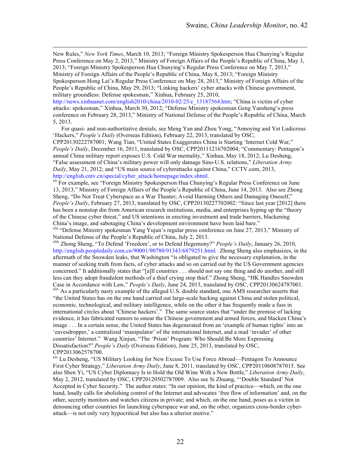New Rules," *New York Times*, March 10, 2013; "Foreign Ministry Spokesperson Hua Chunying's Regular Press Conference on May 2, 2013," Ministry of Foreign Affairs of the People's Republic of China, May 3, 2013; "Foreign Ministry Spokesperson Hua Chunying's Regular Press Conference on May 7, 2013," Ministry of Foreign Affairs of the People's Republic of China, May 8, 2013; "Foreign Ministry Spokesperson Hong Lei's Regular Press Conference on May 28, 2013," Ministry of Foreign Affairs of the People's Republic of China, May 29, 2013; "Linking hackers' cyber attacks with Chinese government, military groundless: Defense spokesman," Xinhua, February 25, 2010,

http://news.xinhuanet.com/english2010/china/2010-02/25/c\_13187564.htm; "China is victim of cyber attacks: spokesman," Xinhua, March 30, 2012; "Defense Ministry spokesman Geng Yansheng's press conference on February 28, 2013," Ministry of National Defense of the People's Republic of China, March 5, 2013.

For quasi- and non-authoritative denials, see Meng Yan and Zhou Yong, "Annoying and Yet Ludicrous 'Hackers," *People's Daily* (Overseas Edition), February 22, 2013, translated by OSC, CPP20130222787001; Wang Tian, "United States Exaggerates China is Starting 'Internet Cold War," *People's Daily*, December 16, 2011, translated by OSC, CPP20111216702004; "Commentary: Pentagon's annual China military report exposes U.S. Cold War mentality," Xinhua, May 18, 2012; Lu Desheng, "False assessment of China's military power will only damage Sino-U.S. relations," *Liberation Army Daily*, May 21, 2012; and "US main source of cyberattacks against China," CCTV.com, 2013,

http://english.cntv.cn/special/cyber\_attack/homepage/index.shtml.<br><sup>xli</sup> For example, see "Foreign Ministry Spokesperson Hua Chunying's Regular Press Conference on June 13, 2013," Ministry of Foreign Affairs of the People's Republic of China, June 14, 2013. Also see Zhong Sheng, "Do Not Treat Cyberspace as a War Theater; Avoid Harming Others and Damaging Oneself," *People's Daily*, February 27, 2013, translated by OSC, CPP20130227702002: "Since last year [2012] there has been a nonstop din from American research institutions, media, and enterprises hyping up the "theory of the Chinese cyber threat," and US intentions in erecting investment and trade barriers, blackening China's image, and sabotaging China's development environment have been laid bare."<br><sup>xlii</sup> "Defense Ministry spokesman Yang Yujun's regular press conference on June 27, 2013," Ministry of

National Defense of the People's Republic of China, July 2, 2013.

xliii Zhong Sheng, "To Defend 'Freedom', or to Defend Hegemony?" *People's Daily*, January 26, 2010, http://english.peopledaily.com.cn/90001/90780/91343/6879251.html*.* Zhong Sheng also emphasizes, in the aftermath of the Snowden leaks, that Washington "is obligated to give the necessary explanation, in the manner of seeking truth from facts, of cyber attacks and so on carried out by the US Government agencies concerned." It additionally states that "[a]ll countries . . . should not say one thing and do another, and still less can they adopt fraudulent methods of a thief crying stop thief." Zhong Sheng, "HK Handles Snowden Case in Accordance with Law," *People's Daily*, June 24, 2013, translated by OSC, CPP20130624787001. xliv As a particularly nasty example of the alleged U.S. double standard, one AMS researcher asserts that "the United States has on the one hand carried out large-scale hacking against China and stolen political, economic, technological, and military intelligence, while on the other it has frequently made a fuss in international circles about 'Chinese hackers'." The same source states that "under the premise of lacking evidence, it has fabricated rumors to smear the Chinese government and armed forces, and blacken China's image . . . In a certain sense, the United States has degenerated from an 'example of human rights' into an 'eavesdropper,' a centralized 'manipulator' of the international Internet, and a mad 'invader' of other countries' Internet." Wang Xinjun, "The 'Prism' Program: Who Should Be More Expressing Dissatisfaction?" *People's Daily* (Overseas Edition), June 25, 2013, translated by OSC, CPP2013062578700.

xlv Lu Desheng, "US Military Looking for New Excuse To Use Force Abroad—Pentagon To Announce First Cyber Strategy," *Liberation Army Daily*, June 8, 2011, translated by OSC, CPP20110608787015. See also Shen Yi, "US Cyber Diplomacy Is to Hold the Old Wine With a New Bottle," *Liberation Army Daily*, May 2, 2012, translated by OSC, CPP20120502787009. Also see Si Zhuang, "'Double Standard' Not Accepted in Cyber Security." The author states: "In our opinion, the kind of practice—which, on the one hand, loudly calls for abolishing control of the Internet and advocates 'free flow of information' and, on the other, secretly monitors and watches citizens in private; and which, on the one hand, poses as a victim in denouncing other countries for launching cyberspace war and, on the other, organizes cross-border cyberattack—is not only very hypocritical but also has a ulterior motive."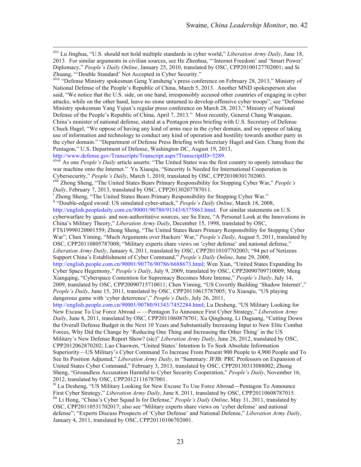xlvi Lu Jinghua, "U.S. should not hold multiple standards in cyber world," *Liberation Army Daily*, June 18, 2013*.* For similar arguments in civilian sources, see He Zhenhua, "'Internet Freedom' and 'Smart Power' Diplomacy," *People's Daily Online*, January 25, 2010, translated by OSC, CPP20100127702001; and Si Zhuang, "'Double Standard' Not Accepted in Cyber Security."

xlvii "Defense Ministry spokesman Geng Yansheng's press conference on February 28, 2013," Ministry of National Defense of the People's Republic of China, March 5, 2013*.* Another MND spokesperson also said, "We notice that the U.S. side, on one hand, irresponsibly accused other countries of engaging in cyber attacks, while on the other hand, leave no stone unturned to develop offensive cyber troops"; see "Defense Ministry spokesman Yang Yujun's regular press conference on March 28, 2013," Ministry of National Defense of the People's Republic of China, April 7, 2013." Most recently, General Chang Wanquan, China's minister of national defense, stated at a Pentagon press briefing with U.S. Secretary of Defense Chuck Hagel, "We oppose of having any kind of arms race in the cyber domain, and we oppose of taking use of information and technology to conduct any kind of operation and hostility towards another party in the cyber domain." "Department of Defense Press Briefing with Secretary Hagel and Gen. Chang from the Pentagon," U.S. Department of Defense, Washington DC, August 19, 2013, http://www.defense.gov/Transcripts/Transcript.aspx?TranscriptID=5289.

xlviii As one *People's Daily* article asserts: "The United States was the first country to openly introduce the war machine onto the Internet." Yu Xiaoqiu, "Sincerity Is Needed for International Cooperation in Cybersecurity," People's Daily, March 1, 2010, translated by OSC, CPP20100301702003.

<sup>xlix</sup> Zhong Sheng, "The United States Bears Primary Responsibility for Stopping Cyber War," *People's Daily*, February 7, 2013, translated by OSC, CPP20130207787011.

 $1$  Zhong Sheng, "The United States Bears Primary Responsibility for Stopping Cyber War." li "Double-edged sword: US simulated cyber-attack," *People's Daily Online*, March 18, 2008, http://english.peopledaily.com.cn/90001/90780/91343/6375863.html*.* For similar statements on U.S. cyberwarfare by quasi- and non-authoritative sources, see Su Enze, "A Personal Look at the Innovations in China's Military Theory," *Liberation Army Daily*, December 15, 1998, translated by OSC, FTS19990120001559; Zhong Sheng, "The United States Bears Primary Responsibility for Stopping Cyber

War"; Chen Yiming, "Much Arguments over Hackers' War," *People's Daily*, August 5, 2011, translated by OSC, CPP20110805787008; "Military experts share views on 'cyber defense' and national defense," *Liberation Army Daily*, January 6, 2011, translated by OSC, CPP20110107702003; "94 pct of Netizens Support China's Establishment of Cyber Command," *People's Daily Online*, June 29, 2009,

http://english.people.com.cn/90001/90776/90786/6688673.html; Wen Xian, "United States Expanding Its Cyber Space Hegemony," *People's Daily*, July 9, 2009, translated by OSC, CPP20090709710009; Meng Xiangqing, "Cyberspace Contention for Supremacy Becomes More Intense," *People's Daily*, July 14, 2009, translated by OSC, CPP20090715710011; Chen Yiming, "US Covertly Building 'Shadow Internet'," *People's Daily*, June 15, 2011, translated by OSC, CPP20110615787005; Yu Xiaoqiu, "US playing dangerous game with 'cyber deterrence'," *People's Daily*, July 26, 2011,

http://english.people.com.cn/90001/90780/91343/7452284.html; Lu Desheng, "US Military Looking for New Excuse To Use Force Abroad -- —Pentagon To Announce First Cyber Strategy," *Liberation Army Daily*, June 8, 2011, translated by OSC, CPP2011060878701; Xu Qinghong, Li Daguang, "Cutting Down the Overall Defense Budget in the Next 10 Years and Substantially Increasing Input to New Elite Combat Forces, Why Did the Change by 'Reducing One Thing and Increasing the Other Thing' in the US Military's New Defense Report Show? (sic)" *Liberation Army Daily*, June 28, 2012, translated by OSC, CPP2012062870202; Luo Chaowen, "United States' Intention Is To Seek Absolute Information Superiority—US Military's Cyber Command To Increase From Present 900 People to 4,900 People and To See Its Position Adjusted," *Liberation Army Daily*, in "Summary: JFJB: PRC Professors on Expansion of United States Cyber Command," February 3, 2013, translated by OSC, CPP20130313088002; Zhong Sheng, "Groundless Accusation Harmful to Cyber Security Cooperation," *People's Daily*, November 16, 2012, translated by OSC, CPP20121116787001.

<sup>lii</sup> Lu Desheng, "US Military Looking for New Excuse To Use Force Abroad—Pentagon To Announce<br>First Cyber Strategy," *Liberation Army Daily*, June 8, 2011, translated by OSC, CPP20110608787015. <sup>liii</sup> Li Hong, "China's Cyber Squad Is for Defense," *People's Daily Online*, May 31, 2011, translated by

OSC, CPP20110531702017; also see "Military experts share views on 'cyber defense' and national defense"; "Experts Discuss Prospects of 'Cyber Defense' and National Defense," *Liberation Army Daily*, January 4, 2011, translated by OSC, CPP20110106702001.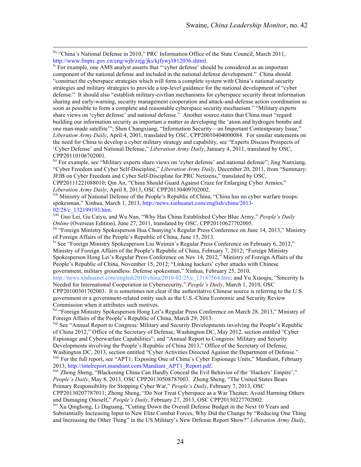liv "China's National Defense in 2010," PRC Information Office of the State Council, March 2011, http://www.fmprc.gov.cn/eng/wjb/zzjg/jks/kjfywj/t812036.shtml.<br><sup>lv</sup> For example, one AMS analyst asserts that ""cyber defense' should be considered as an important

component of the national defense and included in the national defense development." China should "construct the cyberspace strategies which will form a complete system with China's national security strategies and military strategies to provide a top-level guidance for the national development of "cyber defense." It should also "establish military-civilian mechanisms for cyberspace security threat information sharing and early-warning, security management cooperation and attack-and-defense action coordination as soon as possible to form a complete and reasonable cyberspace security mechanism." "Military experts share views on 'cyber defense' and national defense." Another source states that China must "regard building our information security as important a matter as developing the 'atom and hydrogen bombs and one man-made satellite'"; Shen Changxiang, "Information Security—an Important Contemporary Issue," *Liberation Army Daily*, April 4, 2001, translated by OSC, CPP20010404000084. For similar statements on the need for China to develop a cyber military strategy and capability, see "Experts Discuss Prospects of 'Cyber Defense' and National Defense," *Liberation Army Daily*, January 4, 2011, translated by OSC, CPP20110106702001.

<sup>lvi</sup> For example, see "Military experts share views on 'cyber defense' and national defense"; Jing Nanxiang, "Cyber Freedom and Cyber Self-Discipline," *Liberation Army Daily*, December 20, 2011, from "Summary: JFJB on Cyber Freedom and Cyber Self-Discipline for PRC Netizens," translated by OSC,

CPP20111221088010; Qin An, "China Should Guard Against Craze for Enlarging Cyber Armies," *Liberation Army Daily*, April 8, 2013, OSC CPP20130409702002.

lvii Ministry of National Defense of the People's Republic of China, "China has no cyber warfare troops: spokesman," Xinhua, March 1, 2013, http://news.xinhuanet.com/english/china/2013-

02/28/c\_132199193.htm.<br><sup>Iviii</sup> Guo Lei, Gu Caiyu, and Wu Nan, "Why Has China Established Cyber Blue Army," *People's Daily Online* (Overseas Edition), June 27, 2011, translated by OSC, CPP20110627702005.<br><sup>lix</sup> "Foreign Ministry Spokesperson Hua Chunying's Regular Press Conference on June 14, 2013," Ministry

of Foreign Affairs of the People's Republic of China, June 15, 2013.

<sup>1x</sup> See "Foreign Ministry Spokesperson Liu Weimin's Regular Press Conference on February 6, 2012," Ministry of Foreign Affairs of the People's Republic of China, February 7, 2012; "Foreign Ministry Spokesperson Hong Lei's Regular Press Conference on Nov 14, 2012," Ministry of Foreign Affairs of the People's Republic of China, November 15, 2012; "Linking hackers' cyber attacks with Chinese government, military groundless: Defense spokesman," Xinhua, February 25, 2010,

http://news.xinhuanet.com/english2010/china/2010-02/25/c\_13187564.htm; and Yu Xiaoqiu, "Sincerity Is Needed for International Cooperation in Cybersecurity," *People's Daily*, March 1, 2010, OSC CPP20100301702003. It is sometimes not clear if the authoritative Chinese source is referring to the U.S. government or a government-related entity such as the U.S.-China Economic and Security Review

Commission when it attributes such motives.<br><sup>lxi</sup> "Foreign Ministry Spokesperson Hong Lei's Regular Press Conference on March 28, 2013," Ministry of<br>Foreign Affairs of the People's Republic of China, March 29, 2013.

<sup>1xii</sup> See "Annual Report to Congress: Military and Security Developments involving the People's Republic of China 2012," Office of the Secretary of Defense, Washington DC, May 2012, section entitled "Cyber Espionage and Cyberwarfare Capabilities"; and "Annual Report to Congress: Military and Security Developments involving the People's Republic of China 2013," Office of the Secretary of Defense, Washington DC, 2013, section entitled "Cyber Activities Directed Against the Department of Defense." lxiii For the full report, see "APT1: Exposing One of China's Cyber Espionage Units," Mandiant, February 2013, http://int

<sup>2121</sup> Exiv Zhong Sheng, "Blackening China Can Hardly Conceal the Evil Behavior of the 'Hackers' Empire'," *People's Daily*, May 8, 2013, OSC CPP20130508787003*.* Zhong Sheng, "The United States Bears Primary Responsibility for Stopping Cyber War," *People's Daily*, February 7, 2013, OSC

CPP20130207787011; Zhong Sheng, "Do Not Treat Cyberspace as a War Theater; Avoid Harming Others

and Damaging Oneself," *People's Daily*, February 27, 2013, OSC CPP20130227702002.<br><sup>lxv</sup> Xu Qinghong, Li Daguang, "Cutting Down the Overall Defense Budget in the Next 10 Years and Substantially Increasing Input to New Elite Combat Forces, Why Did the Change by "Reducing One Thing and Increasing the Other Thing" in the US Military's New Defense Report Show?" *Liberation Army Daily*,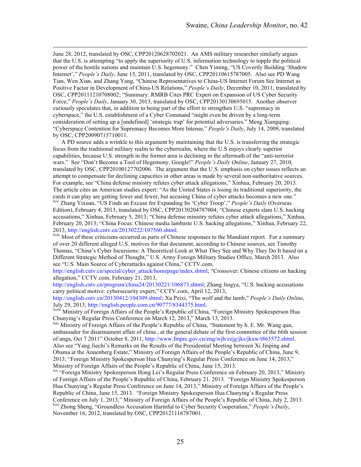June 28, 2012, translated by OSC, CPP20120628702021. An AMS military researcher similarly argues that the U.S. is attempting "to apply the superiority of U.S. information technology to topple the political power of the hostile nations and maintain U.S. hegemony." Chen Yiming, "US Covertly Building 'Shadow Internet'," *People's Daily*, June 15, 2011, translated by OSC, CPP20110615787005*.* Also see PD Wang Tian, Wen Xian, and Zhang Yang, "Chinese Representatives to China-US Internet Forum See Internet as Positive Factor in Development of China-US Relations," *People's Daily*, December 10, 2011, translated by OSC, CPP20111210708002; "Summary: RMRB Cites PRC Expert on Expansion of US Cyber Security Force," *People's Daily*, January 30, 2013, translated by OSC, CPP20130130695015*.* Another observer curiously speculates that, in addition to being part of the effort to strengthen U.S. "supremacy in cyberspace," the U.S. establishment of a Cyber Command "might even be driven by a long-term consideration of setting up a [undefined] 'strategic trap' for potential adversaries." Meng Xiangqing: "Cyberspace Contention for Supremacy Becomes More Intense," *People's Daily*, July 14, 2009, translated by OSC, CPP20090715710011.

A PD source adds a wrinkle to this argument by maintaining that the U.S. is transferring the strategic focus from the traditional military realm to the cyberrealm, where the U.S enjoys clearly superior capabilities, because U.S. strength in the former area is declining in the aftermath of the "anti-terrorist wars." See "Don't Become a Tool of Hegemony, Google!" *People's Daily Online*, January 27, 2010, translated by OSC, CPP20100127702006*.* The argument that the U.S. emphasis on cyber issues reflects an attempt to compensate for declining capacities in other areas is made by several non-authoritative sources. For example, see "China defense ministry refutes cyber attack allegations," Xinhua, February 20, 2013*.*  The article cites an American studies expert: "As the United States is losing its traditional superiority, the cards it can play are getting fewer and fewer, but accusing China of cyber attacks becomes a new one." lxvi Zhang Yixuan, "US Finds an Excuse for Expanding Its 'Cyber Troop'," *People's Daily* (Overseas Edition), February 4, 2013, translated by OSC, CPP20130204787004; "Chinese experts slam U.S. hacking accusations," Xinhua, February 5, 2013; "China defense ministry refutes cyber attack allegations," Xinhua, February 20, 2013; "China Focus: Chinese media lambaste U.S. hacking allegations," Xinhua, February 22, 2013, http://english.cntv.cn/20130222/107560.shtml.<br>
<sup>lxvii</sup> Most of these criticisms occurred as parts of Chinese responses to the Mandiant report. For a summary

of over 20 different alleged U.S. motives for that document, according to Chinese sources, see Timothy Thomas, "China's Cyber Incursions: A Theoretical Look at What They See and Why They Do It based on a Different Strategic Method of Thought," U.S. Army Foreign Military Studies Office, March 2013. Also see "U.S. Main Source of Cyberattacks against China," CCTV.com,

http://english.cntv.cn/special/cyber\_attack/homepage/index.shtml; "Crossover: Chinese citizens on hacking allegation," CCTV.com, February 21, 2013,

http://english.cntv.cn/program/china24/20130221/106873.shtml; Zhang Jingya, "U.S. hacking accusations carry political motive: cybersecurity expert," CCTV.com, April 12, 2013,

http://english.cntv.cn/20130412/104309.shtml; Xu Peixi, "The wolf and the lamb," *People's Daily Online*,

July 29, 2013, http://english.people.com.cn/90777/8344375.html.<br>
<sup>Ixviii</sup> Ministry of Foreign Affairs of the People's Republic of China, "Foreign Ministry Spokesperson Hua<br>
Chunying's Regular Press Conference on March 12,

<sup>1xix</sup> Ministry of Foreign Affairs of the People's Republic of China, "Statement by h. E. Mr. Wang qun, ambassador for disarmament affair of china , at the general debate of the first committee of the 66th session of unga, Oct 7 2011" October 8, 2011, http://www.fmprc.gov.cn/eng/wjb/zzjg/jks/jkxw/t865572.shtml. Also see "Yang Jiechi's Remarks on the Results of the Presidential Meeting between Xi Jinping and Obama at the Annenberg Estate," Ministry of Foreign Affairs of the People's Republic of China, June 9, 2013; "Foreign Ministry Spokesperson Hua Chunying's Regular Press Conference on June 14, 2013," Ministry of Foreign Affairs of the People's Republic of China, June 15, 2013.<br><sup>lxx</sup> "Foreign Ministry Spokesperson Hong Lei's Regular Press Conference on February 20, 2013," Ministry

of Foreign Affairs of the People's Republic of China, February 21, 2013*.* "Foreign Ministry Spokesperson Hua Chunying's Regular Press Conference on June 14, 2013," Ministry of Foreign Affairs of the People's Republic of China, June 15, 2013*.* "Foreign Ministry Spokesperson Hua Chunying's Regular Press <sup>1xxi</sup> Zhong Sheng, "Groundless Accusation Harmful to Cyber Security Cooperation," *People's Daily*, November 16, 2012, translated by OSC, CPP20121116787001.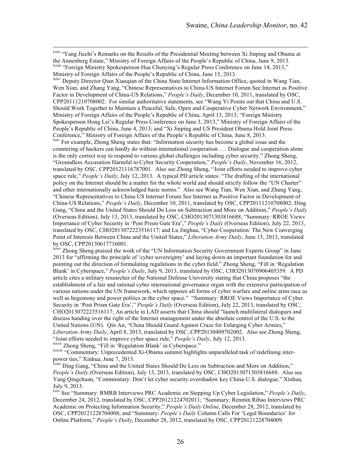lxxii "Yang Jiechi's Remarks on the Results of the Presidential Meeting between Xi Jinping and Obama at the Annenberg Estate," Ministry of Foreign Affairs of the People's Republic of China, June 9, 2013.<br><sup>Ixxiii</sup> "Foreign Ministry Spokesperson Hua Chunying's Regular Press Conference on June 14, 2013," Ministry of Foreign Affairs of the People's Republic of China, June 15, 2013.

lxxiv Deputy Director Qian Xiaoqian of the China State Internet Information Office, quoted in Wang Tian, Wen Xian, and Zhang Yang, "Chinese Representatives to China-US Internet Forum See Internet as Positive Factor in Development of China-US Relations," *People's Daily*, December 10, 2011, translated by OSC, CPP20111210708002. For similar authoritative statements, see "Wang Yi Points out that China and U.S. Should Work Together to Maintain a Peaceful, Safe, Open and Cooperative Cyber Network Environment," Ministry of Foreign Affairs of the People's Republic of China, April 13, 2013; "Foreign Ministry Spokesperson Hong Lei's Regular Press Conference on June 3, 2013," Ministry of Foreign Affairs of the People's Republic of China, June 4, 2013; and "Xi Jinping and US President Obama Hold Joint Press Conference," Ministry of Foreign Affairs of the People's Republic of China, June 8, 2013. lxxv For example, Zhong Sheng states that: "Information security has become a global issue and the countering of hackers can hardly do without international cooperation . . . Dialogue and cooperation alone is the only correct way to respond to various global challenges including cyber security." Zhong Sheng, "Groundless Accusation Harmful to Cyber Security Cooperation," *People's Daily*, November 16, 2012, translated by OSC, CPP20121116787001*.* Also see Zhong Sheng, "Joint efforts needed to improve cyber space rule," *People's Daily*, July 12, 2013. A typical PD article states: "The drafting of the international policy on the Internet should be a matter for the whole world and should strictly follow the "UN Charter" and other internationally acknowledged basic norms." Also see Wang Tian, Wen Xian, and Zhang Yang, "Chinese Representatives to China-US Internet Forum See Internet as Positive Factor in Development of China-US Relations," *People's Daily*, December 10, 2011, translated by OSC, CPP20111210708002; Ding Gang, "China and the United States Should Do Less on Subtraction and More on Addition," *People's Daily* (Overseas Edition), July 13, 2013, translated by OSC, CHO2013071303816688; "Summary: RROE Views Importance of Cyber Security in 'Post Prism Gate Era'," *People's Daily* (Overseas Edition), July 22, 2013, translated by OSC, CHO2013072223516117; and Lu Jinghua, "Cyber Cooperation: The New Converging Point of Interests Between China and the United States," *Liberation Army Daily*, June 15, 2013, translated by OSC, CPP20130617716001.

<sup>lxxvi</sup> Zhong Sheng praised the work of the "UN Information Security Government Experts Group" in June 2013 for "affirming the principle of 'cyber sovereignty' and laying down an important foundation for and pointing out the direction of formulating regulations in the cyber field." Zhong Sheng, "Fill in 'Regulation Blank' in Cyberspace," *People's Daily*, July 9, 2013, translated by OSC, CHO2013070906405359*.* A PD article cites a military researcher of the National Defense University stating that China proposes "the establishment of a fair and rational cyber international governance organ with the extensive participation of various nations under the UN framework, which opposes all forms of cyber warfare and online arms race as well as hegemony and power politics in the cyber space." "Summary: RROE Views Importance of Cyber Security in 'Post Prism Gate Era'," *People's Daily* (Overseas Edition), July 22, 2013, translated by OSC, CHO2013072223516117; An article in LAD asserts that China should "launch multilateral dialogues and discuss handing over the right of the Internet management under the absolute control of the U.S. to the United Nations (UN). Qin An, "China Should Guard Against Craze for Enlarging Cyber Armies," *Liberation Army Daily*, April 8, 2013, translated by OSC, CPP20130409702002*.* Also see Zhong Sheng, "Joint efforts needed to improve cyber space rule," *People's Daily*, July 12, 2013.

lxxvii Zhong Sheng, "Fill in 'Regulation Blank' in Cyberspace."

lxxviii "Commentary: Unprecedented Xi-Obama summit highlights unparalleled task of redefining interpower ties," Xinhua, June 7, 2013.<br>
<sup>Ixxix</sup> Ding Gang, "China and the United States Should Do Less on Subtraction and More on Addition,"

*People's Daily* (Overseas Edition), July 13, 2013, translated by OSC, CHO2013071303816688. Also see Yang Qingchuan, "Commentary: Don't let cyber security overshadow key China-U.S. dialogue," Xinhua, July 9, 2013.

lxxx See "Summary: RMRB Interviews PRC Academic on Stepping Up Cyber Legislation," *People's Daily*, December 24, 2012, translated by OSC, CPP20121224702011; "Summary: Renmin Ribao Interviews PRC Academic on Protecting Information Security," *People's Daily Online*, December 28, 2012, translated by OSC, CPP20121228704008; and "Summary: *People's Daily* Column Calls For 'Legal Boundaries' for Online Platform," *People's Daily*, December 28, 2012, translated by OSC, CPP20121228704009.